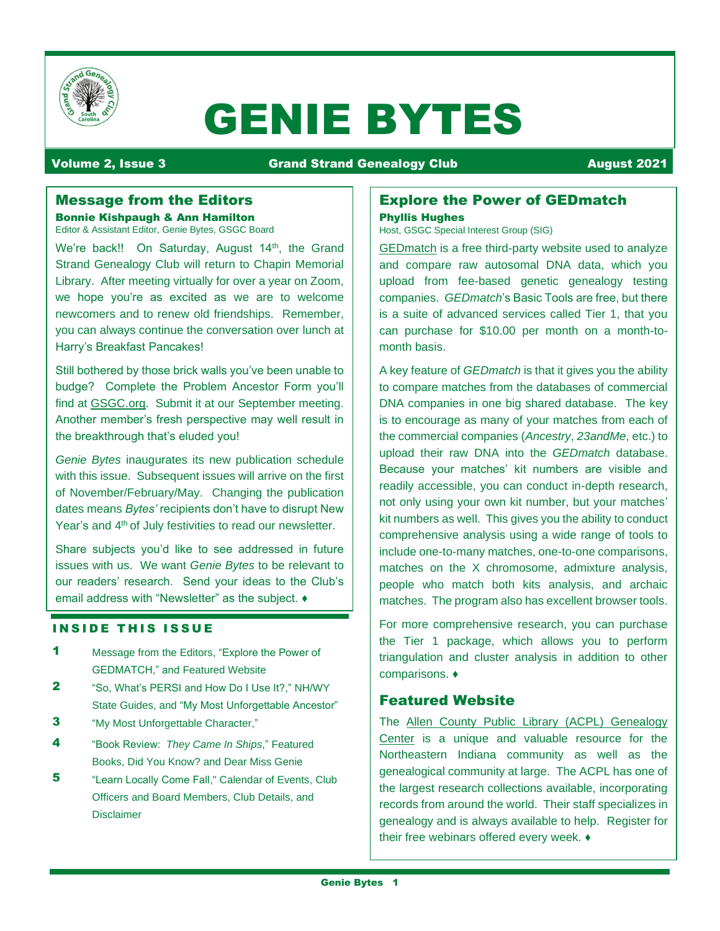

# GENIE BYTES

# Volume 2, Issue 3 **Communist Communist Communist Communist Communist Communist Communist Communist Communist Communist Communist Communist Communist Communist Communist Communist Communist Communist Communist Communist Com**

# Message from the Editors

Bonnie Kishpaugh & Ann Hamilton Editor & Assistant Editor, Genie Bytes, GSGC Board

We're back!! On Saturday, August 14<sup>th</sup>, the Grand Strand Genealogy Club will return to Chapin Memorial Library. After meeting virtually for over a year on Zoom, we hope you're as excited as we are to welcome newcomers and to renew old friendships. Remember, you can always continue the conversation over lunch at Harry's Breakfast Pancakes!

Still bothered by those brick walls you've been unable to budge? Complete the Problem Ancestor Form you'll find at [GSGC.org.](https://www.scgsgc.org/) Submit it at our September meeting. Another member's fresh perspective may well result in the breakthrough that's eluded you!

*Genie Bytes* inaugurates its new publication schedule with this issue. Subsequent issues will arrive on the first of November/February/May. Changing the publication dates means *Bytes'* recipients don't have to disrupt New Year's and 4<sup>th</sup> of July festivities to read our newsletter.

Share subjects you'd like to see addressed in future issues with us. We want *Genie Bytes* to be relevant to our readers' research. Send your ideas to the Club's email address with "Newsletter" as the subject. ♦

# **INSIDE THIS ISSUE**

- 1 Message from the Editors, "Explore the Power of GEDMATCH," and Featured Website
- 2 "So, What's PERSI and How Do I Use It?," NH/WY State Guides, and "My Most Unforgettable Ancestor"
- **3** "My Most Unforgettable Character,"
- 4 "Book Review: *They Came In Ships*," Featured Books, Did You Know? and Dear Miss Genie
- 5 "Learn Locally Come Fall," Calendar of Events, Club Officers and Board Members, Club Details, and Disclaimer

### Explore the Power of GEDmatch Phyllis Hughes

Host, GSGC Special Interest Group (SIG)

[GEDmatch](https://www.gedmatch.com/) is a free third-party website used to analyze and compare raw autosomal DNA data, which you upload from fee-based genetic genealogy testing companies. *GEDmatch*'s Basic Tools are free, but there is a suite of advanced services called Tier 1, that you can purchase for \$10.00 per month on a month-tomonth basis.

A key feature of *GEDmatch* is that it gives you the ability to compare matches from the databases of commercial DNA companies in one big shared database. The key is to encourage as many of your matches from each of the commercial companies (*Ancestry*, *23andMe*, etc.) to upload their raw DNA into the *GEDmatch* database. Because your matches' kit numbers are visible and readily accessible, you can conduct in-depth research, not only using your own kit number, but your matches' kit numbers as well. This gives you the ability to conduct comprehensive analysis using a wide range of tools to include one-to-many matches, one-to-one comparisons, matches on the X chromosome, admixture analysis, people who match both kits analysis, and archaic matches. The program also has excellent browser tools.

For more comprehensive research, you can purchase the Tier 1 package, which allows you to perform triangulation and cluster analysis in addition to other comparisons. ♦

# Featured Website

The [Allen County Public Library \(ACPL\) Genealogy](https://acpl.lib.in.us/genealogy)  [Center](https://acpl.lib.in.us/genealogy) is a unique and valuable resource for the Northeastern Indiana community as well as the genealogical community at large. The ACPL has one of the largest research collections available, incorporating records from around the world. Their staff specializes in genealogy and is always available to help. Register for their free webinars offered every week. ♦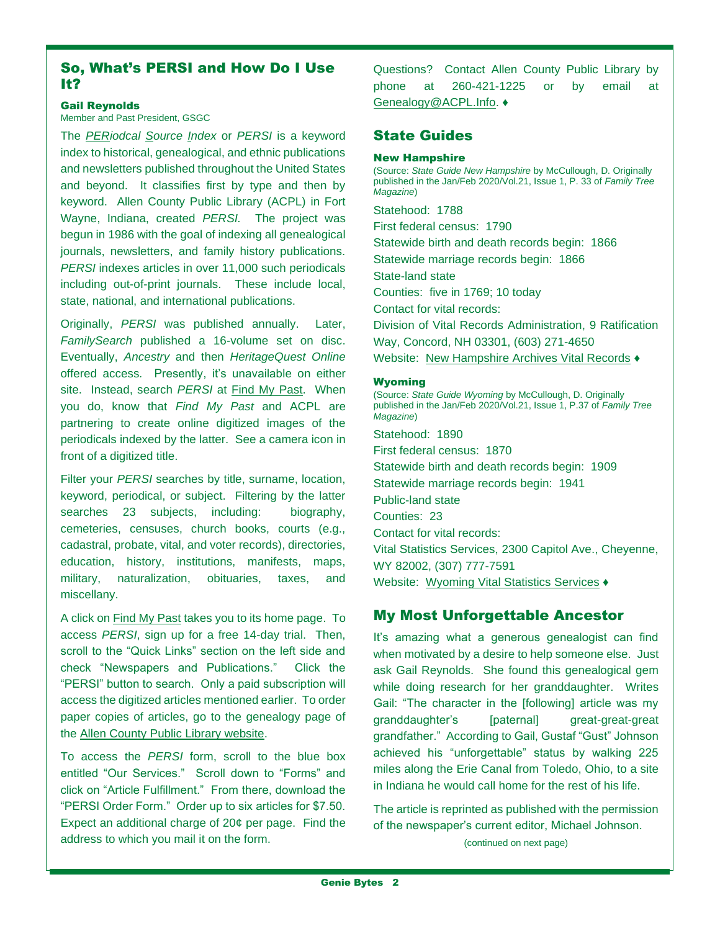# So, What's PERSI and How Do I Use It?

#### Gail Reynolds

Member and Past President, GSGC

The *PERiodcal Source Index* or *PERSI* is a keyword index to historical, genealogical, and ethnic publications and newsletters published throughout the United States and beyond. It classifies first by type and then by keyword. Allen County Public Library (ACPL) in Fort Wayne, Indiana, created *PERSI.* The project was begun in 1986 with the goal of indexing all genealogical journals, newsletters, and family history publications. *PERSI* indexes articles in over 11,000 such periodicals including out-of-print journals. These include local, state, national, and international publications.

Originally, *PERSI* was published annually. Later, *FamilySearch* published a 16-volume set on disc. Eventually, *Ancestry* and then *HeritageQuest Online* offered access*.* Presently, it's unavailable on either site. Instead, search *PERSI* at [Find My Past.](https://www.findmypast.com/) When you do, know that *Find My Past* and ACPL are partnering to create online digitized images of the periodicals indexed by the latter. See a camera icon in front of a digitized title.

Filter your *PERSI* searches by title, surname, location, keyword, periodical, or subject. Filtering by the latter searches 23 subjects, including: biography, cemeteries, censuses, church books, courts (e.g., cadastral, probate, vital, and voter records), directories, education, history, institutions, manifests, maps, military, naturalization, obituaries, taxes, and miscellany.

A click on Find [My Past](https://www.findmypast.com/) takes you to its home page. To access *PERSI*, sign up for a free 14-day trial. Then, scroll to the "Quick Links" section on the left side and check "Newspapers and Publications." Click the "PERSI" button to search. Only a paid subscription will access the digitized articles mentioned earlier. To order paper copies of articles, go to the genealogy page of the [Allen County Public Library website.](https://acpl.lib.in.us/genealogy)

To access the *PERSI* form, scroll to the blue box entitled "Our Services." Scroll down to "Forms" and click on "Article Fulfillment." From there, download the "PERSI Order Form." Order up to six articles for \$7.50. Expect an additional charge of 20¢ per page. Find the address to which you mail it on the form.

Questions? Contact Allen County Public Library by phone at 260-421-1225 or by email at [Genealogy@ACPL.Info.](mailto:Genealogy@ACPL.Info) ♦

# State Guides

#### New Hampshire

(Source: *State Guide New Hampshire* by McCullough, D. Originally published in the Jan/Feb 2020/Vol.21, Issue 1, P. 33 of *Family Tree Magazine*)

Statehood: 1788 First federal census: 1790 Statewide birth and death records begin: 1866 Statewide marriage records begin: 1866 State-land state Counties: five in 1769; 10 today Contact for vital records: Division of Vital Records Administration, 9 Ratification Way, Concord, NH 03301, (603) 271-4650 Website: [New Hampshire Archives Vital Records](https://sos.nh.gov/archives-vital-records-records-management/vital-records-information/vital-records-administration/) ♦

#### Wyoming

(Source: *State Guide Wyoming* by McCullough, D. Originally published in the Jan/Feb 2020/Vol.21, Issue 1, P.37 of *Family Tree Magazine*) Statehood: 1890 First federal census: 1870 Statewide birth and death records begin: 1909 Statewide marriage records begin: 1941 Public-land state Counties: 23 Contact for vital records: Vital Statistics Services, 2300 Capitol Ave., Cheyenne, WY 82002, (307) 777-7591

Website: [Wyoming Vital Statistics](https://health.wyo.gov/admin/vitalstatistics/vital-record/) Services ♦

# My Most Unforgettable Ancestor

It's amazing what a generous genealogist can find when motivated by a desire to help someone else. Just ask Gail Reynolds. She found this genealogical gem while doing research for her granddaughter. Writes Gail: "The character in the [following] article was my granddaughter's [paternal] great-great-great grandfather." According to Gail, Gustaf "Gust" Johnson achieved his "unforgettable" status by walking 225 miles along the Erie Canal from Toledo, Ohio, to a site in Indiana he would call home for the rest of his life.

The article is reprinted as published with the permission of the newspaper's current editor, Michael Johnson.

(continued on next page)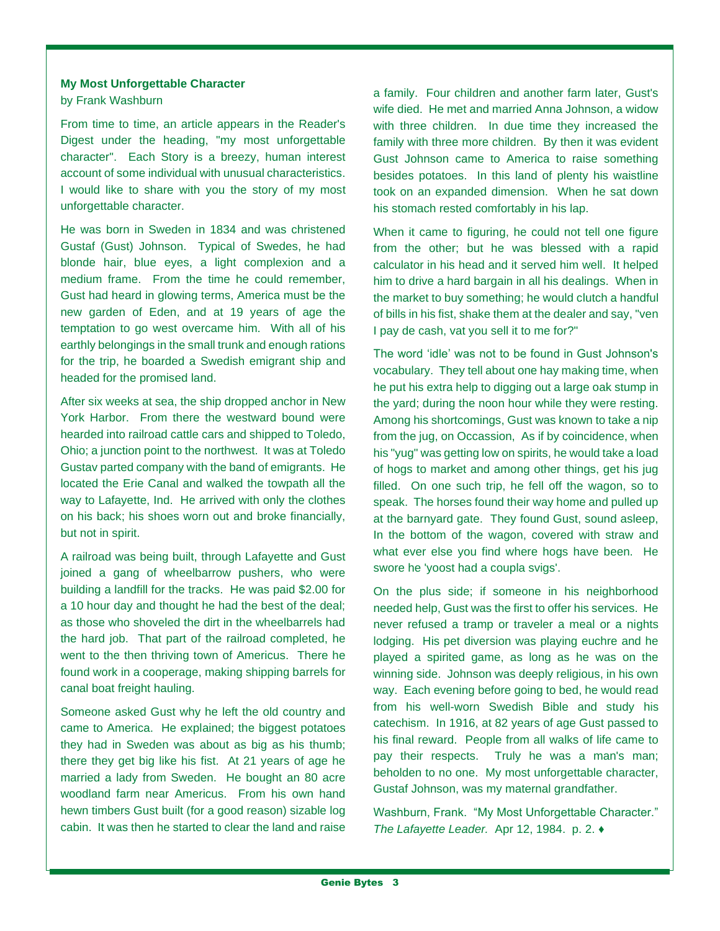#### **My Most Unforgettable Character**

by Frank Washburn

From time to time, an article appears in the Reader's Digest under the heading, "my most unforgettable character". Each Story is a breezy, human interest account of some individual with unusual characteristics. I would like to share with you the story of my most unforgettable character.

He was born in Sweden in 1834 and was christened Gustaf (Gust) Johnson. Typical of Swedes, he had blonde hair, blue eyes, a light complexion and a medium frame. From the time he could remember, Gust had heard in glowing terms, America must be the new garden of Eden, and at 19 years of age the temptation to go west overcame him. With all of his earthly belongings in the small trunk and enough rations for the trip, he boarded a Swedish emigrant ship and headed for the promised land.

After six weeks at sea, the ship dropped anchor in New York Harbor. From there the westward bound were hearded into railroad cattle cars and shipped to Toledo, Ohio; a junction point to the northwest. It was at Toledo Gustav parted company with the band of emigrants. He located the Erie Canal and walked the towpath all the way to Lafayette, Ind. He arrived with only the clothes on his back; his shoes worn out and broke financially, but not in spirit.

A railroad was being built, through Lafayette and Gust joined a gang of wheelbarrow pushers, who were building a landfill for the tracks. He was paid \$2.00 for a 10 hour day and thought he had the best of the deal; as those who shoveled the dirt in the wheelbarrels had the hard job. That part of the railroad completed, he went to the then thriving town of Americus. There he found work in a cooperage, making shipping barrels for canal boat freight hauling.

Someone asked Gust why he left the old country and came to America. He explained; the biggest potatoes they had in Sweden was about as big as his thumb; there they get big like his fist. At 21 years of age he married a lady from Sweden. He bought an 80 acre woodland farm near Americus. From his own hand hewn timbers Gust built (for a good reason) sizable log cabin. It was then he started to clear the land and raise

a family. Four children and another farm later, Gust's wife died. He met and married Anna Johnson, a widow with three children. In due time they increased the family with three more children. By then it was evident Gust Johnson came to America to raise something besides potatoes. In this land of plenty his waistline took on an expanded dimension. When he sat down his stomach rested comfortably in his lap.

When it came to figuring, he could not tell one figure from the other; but he was blessed with a rapid calculator in his head and it served him well. It helped him to drive a hard bargain in all his dealings. When in the market to buy something; he would clutch a handful of bills in his fist, shake them at the dealer and say, "ven I pay de cash, vat you sell it to me for?"

The word 'idle' was not to be found in Gust Johnson's vocabulary. They tell about one hay making time, when he put his extra help to digging out a large oak stump in the yard; during the noon hour while they were resting. Among his shortcomings, Gust was known to take a nip from the jug, on Occassion, As if by coincidence, when his "yug" was getting low on spirits, he would take a load of hogs to market and among other things, get his jug filled. On one such trip, he fell off the wagon, so to speak. The horses found their way home and pulled up at the barnyard gate. They found Gust, sound asleep, In the bottom of the wagon, covered with straw and what ever else you find where hogs have been. He swore he 'yoost had a coupla svigs'.

On the plus side; if someone in his neighborhood needed help, Gust was the first to offer his services. He never refused a tramp or traveler a meal or a nights lodging. His pet diversion was playing euchre and he played a spirited game, as long as he was on the winning side. Johnson was deeply religious, in his own way. Each evening before going to bed, he would read from his well-worn Swedish Bible and study his catechism. In 1916, at 82 years of age Gust passed to his final reward. People from all walks of life came to pay their respects. Truly he was a man's man; beholden to no one. My most unforgettable character, Gustaf Johnson, was my maternal grandfather.

Washburn, Frank. "My Most Unforgettable Character." *The Lafayette Leader.* Apr 12, 1984. p. 2. ♦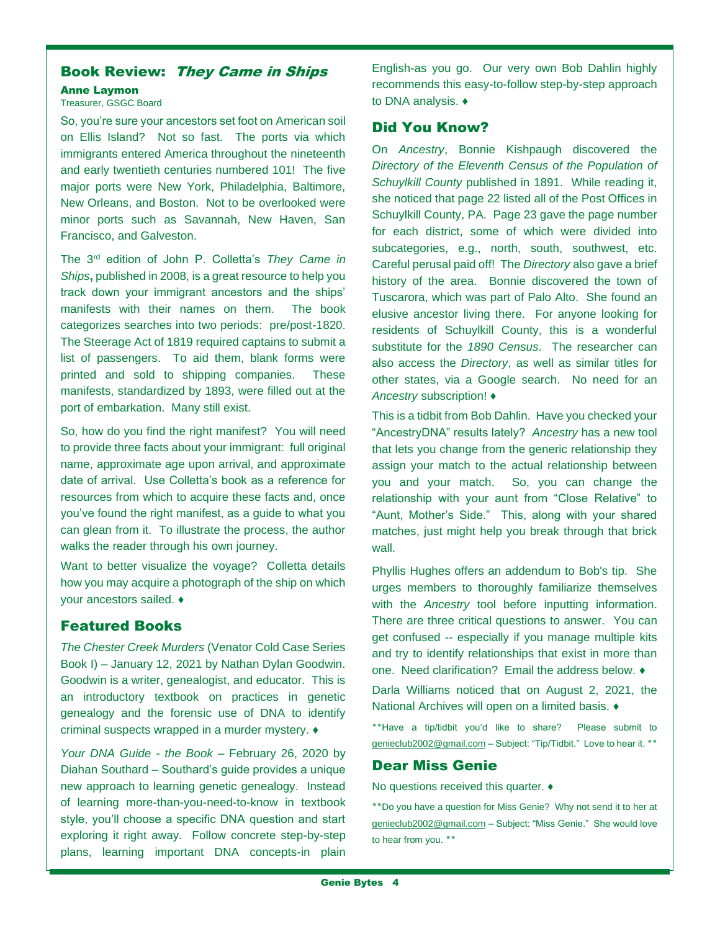# Book Review: They Came in Ships

#### Anne Laymon

## Treasurer, GSGC Board

So, you're sure your ancestors set foot on American soil on Ellis Island? Not so fast. The ports via which immigrants entered America throughout the nineteenth and early twentieth centuries numbered 101! The five major ports were New York, Philadelphia, Baltimore, New Orleans, and Boston. Not to be overlooked were minor ports such as Savannah, New Haven, San Francisco, and Galveston.

The 3rd edition of John P. Colletta's *They Came in Ships***,** published in 2008, is a great resource to help you track down your immigrant ancestors and the ships' manifests with their names on them. The book categorizes searches into two periods: pre/post-1820. The Steerage Act of 1819 required captains to submit a list of passengers. To aid them, blank forms were printed and sold to shipping companies. These manifests, standardized by 1893, were filled out at the port of embarkation. Many still exist.

So, how do you find the right manifest? You will need to provide three facts about your immigrant: full original name, approximate age upon arrival, and approximate date of arrival. Use Colletta's book as a reference for resources from which to acquire these facts and, once you've found the right manifest, as a guide to what you can glean from it. To illustrate the process, the author walks the reader through his own journey.

Want to better visualize the voyage? Colletta details how you may acquire a photograph of the ship on which your ancestors sailed. ♦

# Featured Books

*The Chester Creek Murders* (Venator Cold Case Series Book I) – January 12, 2021 by Nathan Dylan Goodwin. Goodwin is a writer, genealogist, and educator. This is an introductory textbook on practices in genetic genealogy and the forensic use of DNA to identify criminal suspects wrapped in a murder mystery. ♦

*Your DNA Guide - the Book* – February 26, 2020 by Diahan Southard – Southard's guide provides a unique new approach to learning genetic genealogy. Instead of learning more-than-you-need-to-know in textbook style, you'll choose a specific DNA question and start exploring it right away. Follow concrete step-by-step plans, learning important DNA concepts-in plain English-as you go. Our very own Bob Dahlin highly recommends this easy-to-follow step-by-step approach to DNA analysis. ♦

# Did You Know?

On *Ancestry*, Bonnie Kishpaugh discovered the *Directory of the Eleventh Census of the Population of Schuylkill County* published in 1891. While reading it, she noticed that page 22 listed all of the Post Offices in Schuylkill County, PA. Page 23 gave the page number for each district, some of which were divided into subcategories, e.g., north, south, southwest, etc. Careful perusal paid off! The *Directory* also gave a brief history of the area. Bonnie discovered the town of Tuscarora, which was part of Palo Alto. She found an elusive ancestor living there. For anyone looking for residents of Schuylkill County, this is a wonderful substitute for the *1890 Census*. The researcher can also access the *Directory*, as well as similar titles for other states, via a Google search. No need for an *Ancestry* subscription! ♦

This is a tidbit from Bob Dahlin. Have you checked your "AncestryDNA" results lately? *Ancestry* has a new tool that lets you change from the generic relationship they assign your match to the actual relationship between you and your match. So, you can change the relationship with your aunt from "Close Relative" to "Aunt, Mother's Side." This, along with your shared matches, just might help you break through that brick wall.

Phyllis Hughes offers an addendum to Bob's tip. She urges members to thoroughly familiarize themselves with the *Ancestry* tool before inputting information. There are three critical questions to answer. You can get confused -- especially if you manage multiple kits and try to identify relationships that exist in more than one. Need clarification? Email the address below. ♦

Darla Williams noticed that on August 2, 2021, the National Archives will open on a limited basis. ♦

**٭٭**Have a tip/tidbit you'd like to share? Please submit to [genieclub2002@gmail.com](mailto:genieclub2002@gmail.com) – Subject: "Tip/Tidbit." Love to hear it. \*\*

# Dear Miss Genie

No questions received this quarter. ♦

٭٭Do you have a question for Miss Genie? Why not send it to her at [genieclub2002@gmail.com](mailto:genieclub2002@gmail.com) – Subject: "Miss Genie." She would love to hear from you. **٭٭**